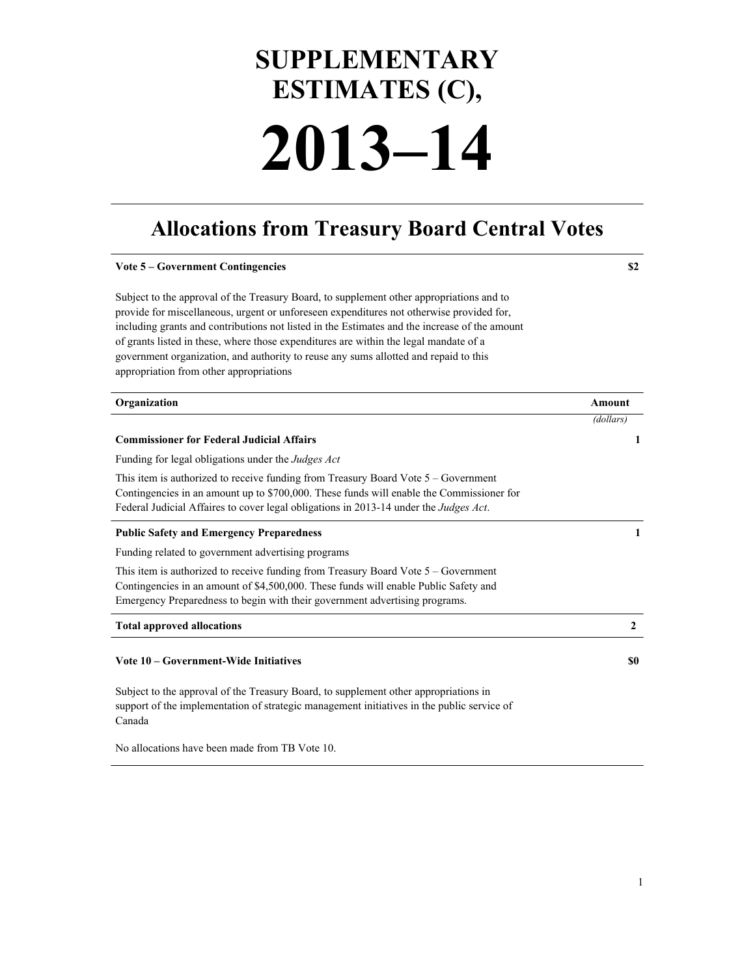# **SUPPLEMENTARY ESTIMATES (C), 2013–14**

# **Allocations from Treasury Board Central Votes**

| <b>Vote 5 - Government Contingencies</b>                                                                                                                                                                                                                                                                                                                                                                                                                                                                          | \$2              |
|-------------------------------------------------------------------------------------------------------------------------------------------------------------------------------------------------------------------------------------------------------------------------------------------------------------------------------------------------------------------------------------------------------------------------------------------------------------------------------------------------------------------|------------------|
| Subject to the approval of the Treasury Board, to supplement other appropriations and to<br>provide for miscellaneous, urgent or unforeseen expenditures not otherwise provided for,<br>including grants and contributions not listed in the Estimates and the increase of the amount<br>of grants listed in these, where those expenditures are within the legal mandate of a<br>government organization, and authority to reuse any sums allotted and repaid to this<br>appropriation from other appropriations |                  |
| Organization                                                                                                                                                                                                                                                                                                                                                                                                                                                                                                      | Amount           |
|                                                                                                                                                                                                                                                                                                                                                                                                                                                                                                                   | (dollars)        |
| <b>Commissioner for Federal Judicial Affairs</b>                                                                                                                                                                                                                                                                                                                                                                                                                                                                  | 1                |
| Funding for legal obligations under the <i>Judges Act</i>                                                                                                                                                                                                                                                                                                                                                                                                                                                         |                  |
| This item is authorized to receive funding from Treasury Board Vote 5 – Government<br>Contingencies in an amount up to \$700,000. These funds will enable the Commissioner for<br>Federal Judicial Affaires to cover legal obligations in 2013-14 under the Judges Act.                                                                                                                                                                                                                                           |                  |
| <b>Public Safety and Emergency Preparedness</b>                                                                                                                                                                                                                                                                                                                                                                                                                                                                   | 1                |
| Funding related to government advertising programs                                                                                                                                                                                                                                                                                                                                                                                                                                                                |                  |
| This item is authorized to receive funding from Treasury Board Vote 5 – Government<br>Contingencies in an amount of \$4,500,000. These funds will enable Public Safety and<br>Emergency Preparedness to begin with their government advertising programs.                                                                                                                                                                                                                                                         |                  |
| <b>Total approved allocations</b>                                                                                                                                                                                                                                                                                                                                                                                                                                                                                 | $\boldsymbol{2}$ |
| Vote 10 – Government-Wide Initiatives                                                                                                                                                                                                                                                                                                                                                                                                                                                                             | \$0              |
| Subject to the approval of the Treasury Board, to supplement other appropriations in<br>support of the implementation of strategic management initiatives in the public service of<br>Canada                                                                                                                                                                                                                                                                                                                      |                  |

No allocations have been made from TB Vote 10.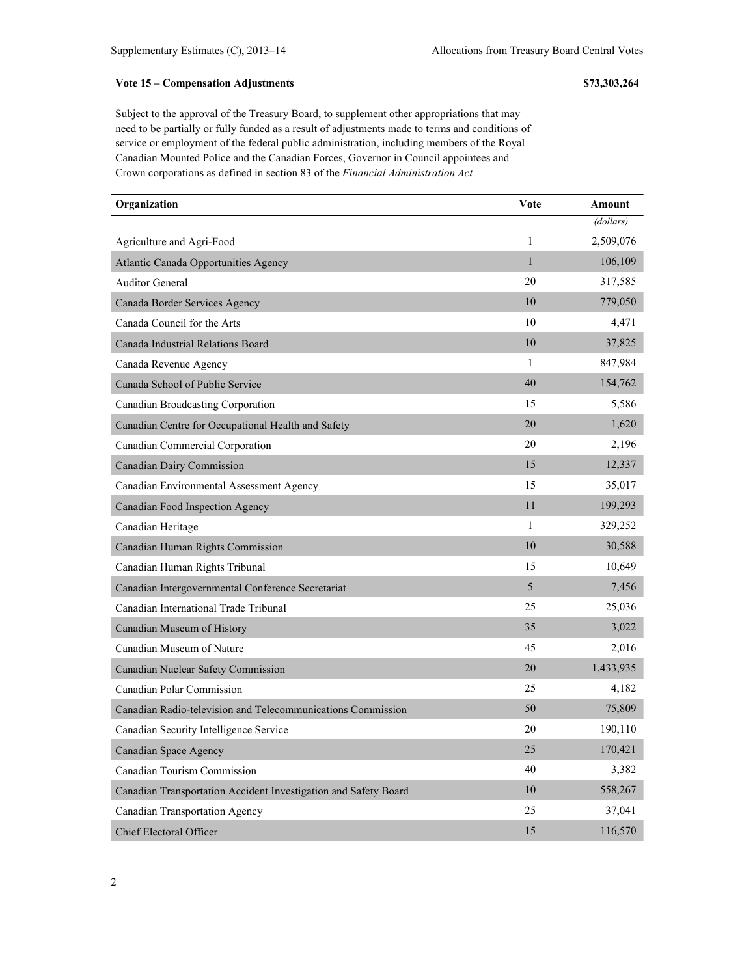## **Vote 15 – Compensation Adjustments \$73,303,264**

Subject to the approval of the Treasury Board, to supplement other appropriations that may need to be partially or fully funded as a result of adjustments made to terms and conditions of service or employment of the federal public administration, including members of the Royal Canadian Mounted Police and the Canadian Forces, Governor in Council appointees and Crown corporations as defined in section 83 of the *Financial Administration Act*

| Organization                                                    | <b>Vote</b>  | Amount    |
|-----------------------------------------------------------------|--------------|-----------|
|                                                                 |              | (dollars) |
| Agriculture and Agri-Food                                       | 1            | 2,509,076 |
| <b>Atlantic Canada Opportunities Agency</b>                     | $\mathbf{1}$ | 106,109   |
| <b>Auditor General</b>                                          | 20           | 317,585   |
| Canada Border Services Agency                                   | 10           | 779,050   |
| Canada Council for the Arts                                     | 10           | 4,471     |
| Canada Industrial Relations Board                               | 10           | 37,825    |
| Canada Revenue Agency                                           | 1            | 847,984   |
| Canada School of Public Service                                 | 40           | 154,762   |
| Canadian Broadcasting Corporation                               | 15           | 5,586     |
| Canadian Centre for Occupational Health and Safety              | 20           | 1,620     |
| Canadian Commercial Corporation                                 | 20           | 2,196     |
| <b>Canadian Dairy Commission</b>                                | 15           | 12,337    |
| Canadian Environmental Assessment Agency                        | 15           | 35,017    |
| Canadian Food Inspection Agency                                 | 11           | 199,293   |
| Canadian Heritage                                               | 1            | 329,252   |
| Canadian Human Rights Commission                                | 10           | 30,588    |
| Canadian Human Rights Tribunal                                  | 15           | 10,649    |
| Canadian Intergovernmental Conference Secretariat               | 5            | 7,456     |
| Canadian International Trade Tribunal                           | 25           | 25,036    |
| Canadian Museum of History                                      | 35           | 3,022     |
| Canadian Museum of Nature                                       | 45           | 2,016     |
| Canadian Nuclear Safety Commission                              | 20           | 1,433,935 |
| <b>Canadian Polar Commission</b>                                | 25           | 4,182     |
| Canadian Radio-television and Telecommunications Commission     | 50           | 75,809    |
| Canadian Security Intelligence Service                          | 20           | 190,110   |
| <b>Canadian Space Agency</b>                                    | 25           | 170,421   |
| Canadian Tourism Commission                                     | 40           | 3,382     |
| Canadian Transportation Accident Investigation and Safety Board | 10           | 558,267   |
| <b>Canadian Transportation Agency</b>                           | 25           | 37,041    |
| <b>Chief Electoral Officer</b>                                  | 15           | 116,570   |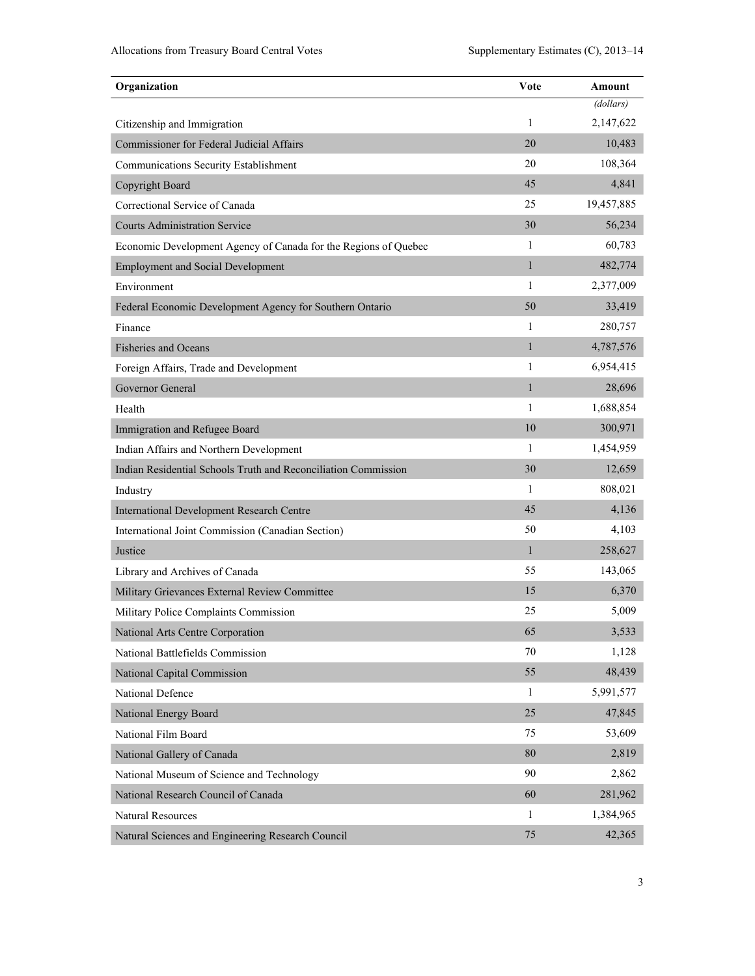| Organization                                                    | Vote         | Amount     |
|-----------------------------------------------------------------|--------------|------------|
|                                                                 |              | (dollars)  |
| Citizenship and Immigration                                     | 1            | 2,147,622  |
| Commissioner for Federal Judicial Affairs                       | 20           | 10,483     |
| Communications Security Establishment                           | 20           | 108,364    |
| Copyright Board                                                 | 45           | 4,841      |
| Correctional Service of Canada                                  | 25           | 19,457,885 |
| <b>Courts Administration Service</b>                            | 30           | 56,234     |
| Economic Development Agency of Canada for the Regions of Quebec | 1            | 60,783     |
| <b>Employment and Social Development</b>                        | $\mathbf{1}$ | 482,774    |
| Environment                                                     | 1            | 2,377,009  |
| Federal Economic Development Agency for Southern Ontario        | 50           | 33,419     |
| Finance                                                         | 1            | 280,757    |
| <b>Fisheries and Oceans</b>                                     | $\mathbf{1}$ | 4,787,576  |
| Foreign Affairs, Trade and Development                          | 1            | 6,954,415  |
| Governor General                                                | $\mathbf{1}$ | 28,696     |
| Health                                                          | 1            | 1,688,854  |
| Immigration and Refugee Board                                   | 10           | 300,971    |
| Indian Affairs and Northern Development                         | 1            | 1,454,959  |
| Indian Residential Schools Truth and Reconciliation Commission  | 30           | 12,659     |
| Industry                                                        | 1            | 808,021    |
| <b>International Development Research Centre</b>                | 45           | 4,136      |
| International Joint Commission (Canadian Section)               | 50           | 4,103      |
| Justice                                                         | $\mathbf{1}$ | 258,627    |
| Library and Archives of Canada                                  | 55           | 143,065    |
| Military Grievances External Review Committee                   | 15           | 6,370      |
| Military Police Complaints Commission                           | 25           | 5,009      |
| National Arts Centre Corporation                                | 65           | 3,533      |
| National Battlefields Commission                                | 70           | 1,128      |
| National Capital Commission                                     | 55           | 48,439     |
| National Defence                                                | $\mathbf{1}$ | 5,991,577  |
| National Energy Board                                           | 25           | 47,845     |
| National Film Board                                             | 75           | 53,609     |
| National Gallery of Canada                                      | 80           | 2,819      |
| National Museum of Science and Technology                       | 90           | 2,862      |
| National Research Council of Canada                             | 60           | 281,962    |
| <b>Natural Resources</b>                                        | 1            | 1,384,965  |
| Natural Sciences and Engineering Research Council               | 75           | 42,365     |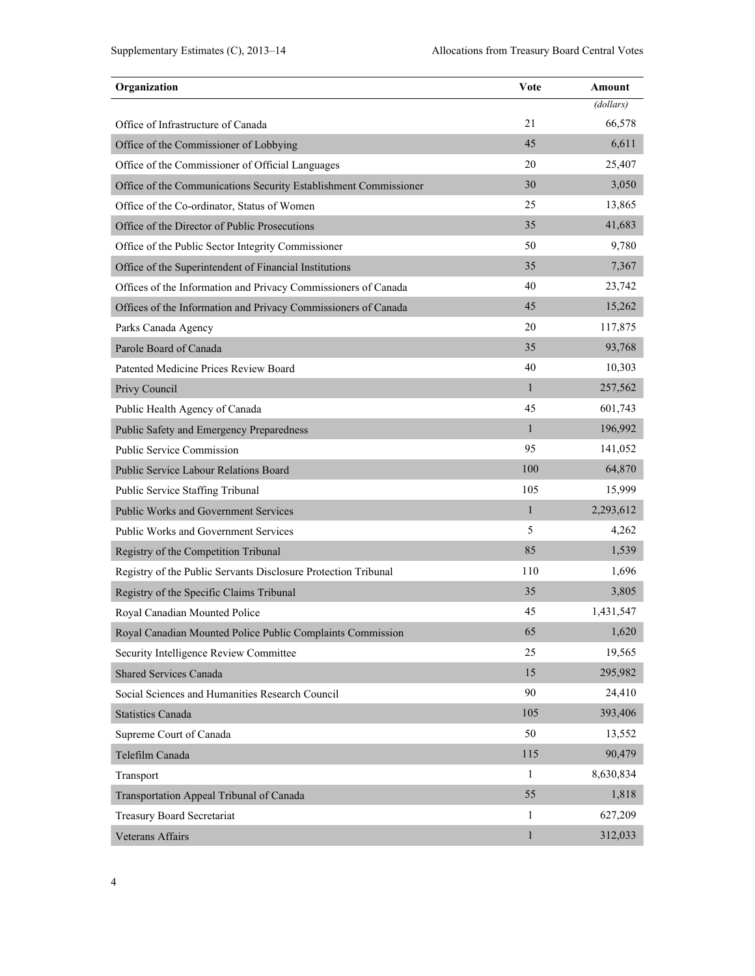| Organization                                                     | Vote         | Amount    |
|------------------------------------------------------------------|--------------|-----------|
|                                                                  |              | (dollars) |
| Office of Infrastructure of Canada                               | 21           | 66,578    |
| Office of the Commissioner of Lobbying                           | 45           | 6,611     |
| Office of the Commissioner of Official Languages                 | 20           | 25,407    |
| Office of the Communications Security Establishment Commissioner | 30           | 3,050     |
| Office of the Co-ordinator, Status of Women                      | 25           | 13,865    |
| Office of the Director of Public Prosecutions                    | 35           | 41,683    |
| Office of the Public Sector Integrity Commissioner               | 50           | 9,780     |
| Office of the Superintendent of Financial Institutions           | 35           | 7,367     |
| Offices of the Information and Privacy Commissioners of Canada   | 40           | 23,742    |
| Offices of the Information and Privacy Commissioners of Canada   | 45           | 15,262    |
| Parks Canada Agency                                              | 20           | 117,875   |
| Parole Board of Canada                                           | 35           | 93,768    |
| Patented Medicine Prices Review Board                            | 40           | 10,303    |
| Privy Council                                                    | $\mathbf{1}$ | 257,562   |
| Public Health Agency of Canada                                   | 45           | 601,743   |
| Public Safety and Emergency Preparedness                         | $\mathbf{1}$ | 196,992   |
| Public Service Commission                                        | 95           | 141,052   |
| Public Service Labour Relations Board                            | 100          | 64,870    |
| Public Service Staffing Tribunal                                 | 105          | 15,999    |
| <b>Public Works and Government Services</b>                      | $\mathbf{1}$ | 2,293,612 |
| Public Works and Government Services                             | 5            | 4,262     |
| Registry of the Competition Tribunal                             | 85           | 1,539     |
| Registry of the Public Servants Disclosure Protection Tribunal   | 110          | 1,696     |
| Registry of the Specific Claims Tribunal                         | 35           | 3,805     |
| Royal Canadian Mounted Police                                    | 45           | 1,431,547 |
| Royal Canadian Mounted Police Public Complaints Commission       | 65           | 1,620     |
| Security Intelligence Review Committee                           | 25           | 19,565    |
| <b>Shared Services Canada</b>                                    | 15           | 295,982   |
| Social Sciences and Humanities Research Council                  | 90           | 24,410    |
| <b>Statistics Canada</b>                                         | 105          | 393,406   |
| Supreme Court of Canada                                          | 50           | 13,552    |
| Telefilm Canada                                                  | 115          | 90,479    |
| Transport                                                        | $\mathbf{1}$ | 8,630,834 |
| Transportation Appeal Tribunal of Canada                         | 55           | 1,818     |
| <b>Treasury Board Secretariat</b>                                | 1            | 627,209   |
| Veterans Affairs                                                 | $\,1$        | 312,033   |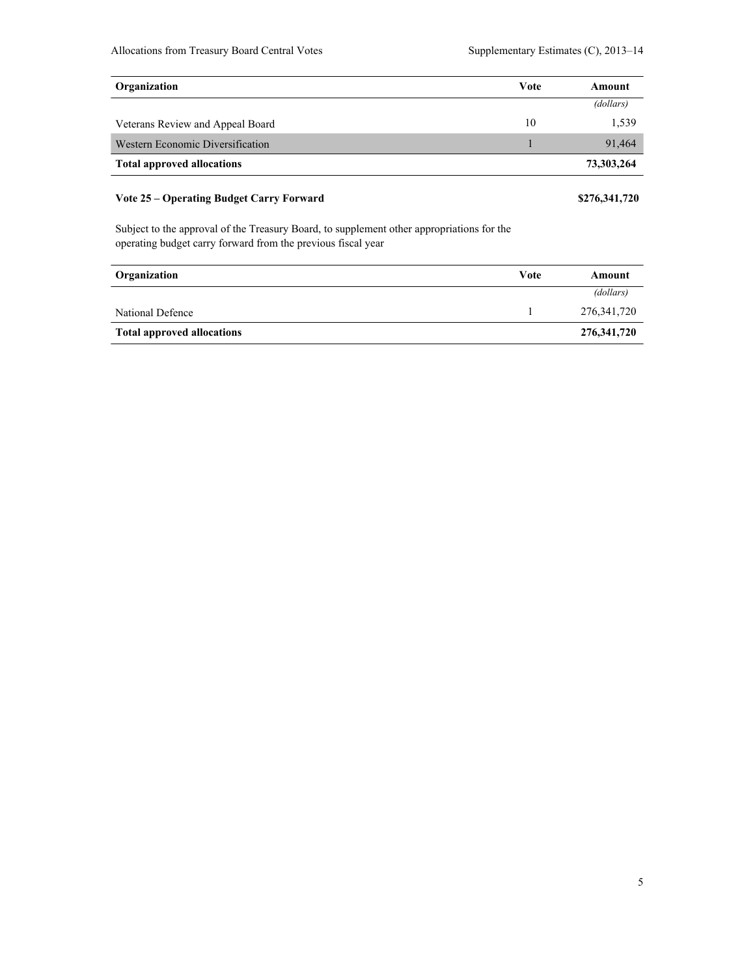| Organization                      | Vote | Amount     |
|-----------------------------------|------|------------|
|                                   |      | (dollars)  |
| Veterans Review and Appeal Board  | 10   | 1,539      |
| Western Economic Diversification  |      | 91.464     |
| <b>Total approved allocations</b> |      | 73,303,264 |
|                                   |      |            |

# **Vote 25 – Operating Budget Carry Forward \$276,341,720**

Subject to the approval of the Treasury Board, to supplement other appropriations for the operating budget carry forward from the previous fiscal year

| Organization                      | Vote | Amount      |
|-----------------------------------|------|-------------|
|                                   |      | (dollars)   |
| National Defence                  |      | 276,341,720 |
| <b>Total approved allocations</b> |      | 276,341,720 |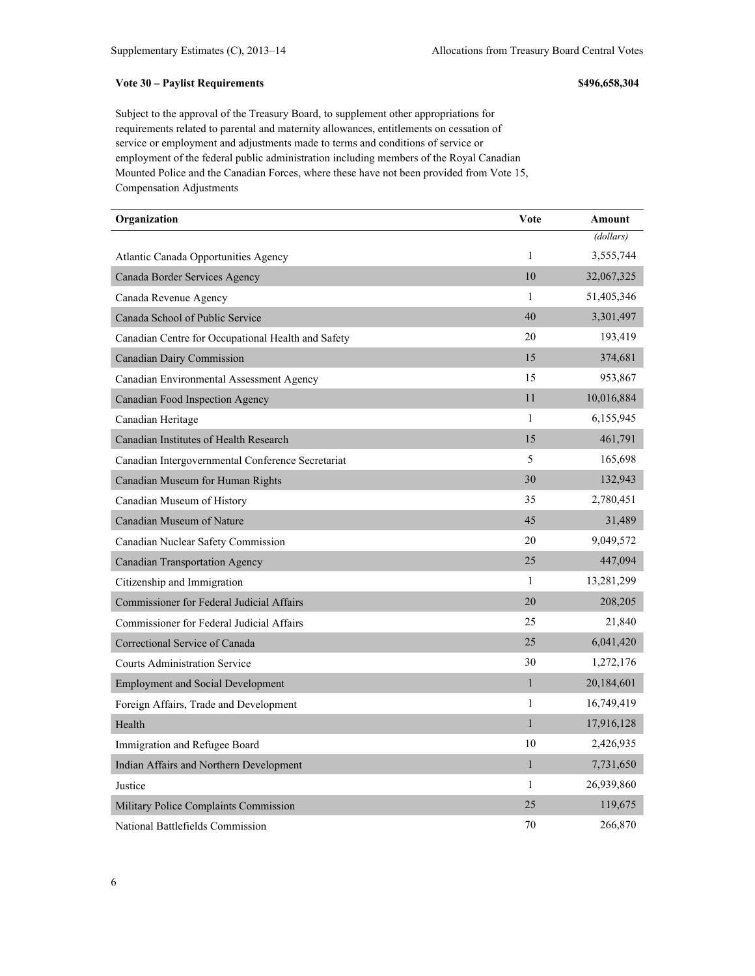### **Vote 30 – Paylist Requirements \$496,658,304**

Subject to the approval of the Treasury Board, to supplement other appropriations for requirements related to parental and maternity allowances, entitlements on cessation of service or employment and adjustments made to terms and conditions of service or employment of the federal public administration including members of the Royal Canadian Mounted Police and the Canadian Forces, where these have not been provided from Vote 15, Compensation Adjustments

| Organization                                       | Vote         | Amount     |
|----------------------------------------------------|--------------|------------|
|                                                    |              | (dollars)  |
| Atlantic Canada Opportunities Agency               | $\mathbf{1}$ | 3,555,744  |
| Canada Border Services Agency                      | 10           | 32,067,325 |
| Canada Revenue Agency                              | 1            | 51,405,346 |
| Canada School of Public Service                    | 40           | 3,301,497  |
| Canadian Centre for Occupational Health and Safety | 20           | 193,419    |
| <b>Canadian Dairy Commission</b>                   | 15           | 374,681    |
| Canadian Environmental Assessment Agency           | 15           | 953,867    |
| Canadian Food Inspection Agency                    | 11           | 10,016,884 |
| Canadian Heritage                                  | $\mathbf{1}$ | 6,155,945  |
| Canadian Institutes of Health Research             | 15           | 461,791    |
| Canadian Intergovernmental Conference Secretariat  | 5            | 165,698    |
| Canadian Museum for Human Rights                   | 30           | 132,943    |
| Canadian Museum of History                         | 35           | 2,780,451  |
| Canadian Museum of Nature                          | 45           | 31,489     |
| Canadian Nuclear Safety Commission                 | 20           | 9,049,572  |
| <b>Canadian Transportation Agency</b>              | 25           | 447,094    |
| Citizenship and Immigration                        | 1            | 13,281,299 |
| <b>Commissioner for Federal Judicial Affairs</b>   | 20           | 208,205    |
| Commissioner for Federal Judicial Affairs          | 25           | 21,840     |
| Correctional Service of Canada                     | 25           | 6,041,420  |
| <b>Courts Administration Service</b>               | 30           | 1,272,176  |
| <b>Employment and Social Development</b>           | $\mathbf{1}$ | 20,184,601 |
| Foreign Affairs, Trade and Development             | 1            | 16,749,419 |
| Health                                             | $\mathbf{1}$ | 17,916,128 |
| Immigration and Refugee Board                      | 10           | 2,426,935  |
| Indian Affairs and Northern Development            | $\mathbf{1}$ | 7,731,650  |
| Justice                                            | 1            | 26,939,860 |
| Military Police Complaints Commission              | 25           | 119,675    |
| National Battlefields Commission                   | 70           | 266,870    |